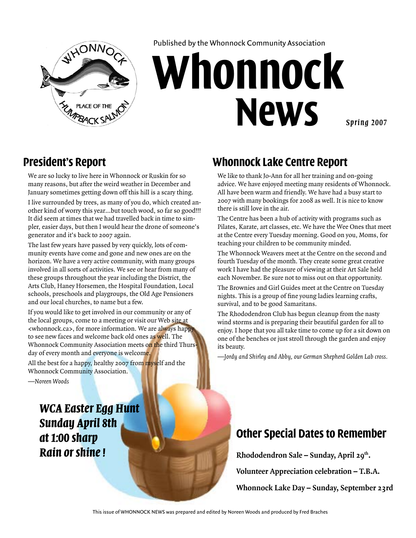

Published by the Whonnock Community Association

# **Whonnock News**

*Spring 2007*

#### **President's Report**

We are so lucky to live here in Whonnock or Ruskin for so many reasons, but after the weird weather in December and January sometimes getting down off this hill is a scary thing.

I live surrounded by trees, as many of you do, which created another kind of worry this year…but touch wood, so far so good!!! It did seem at times that we had travelled back in time to simpler, easier days, but then I would hear the drone of someone's generator and it's back to 2007 again.

The last few years have passed by very quickly, lots of community events have come and gone and new ones are on the horizon. We have a very active community, with many groups involved in all sorts of activities. We see or hear from many of these groups throughout the year including the District, the Arts Club, Haney Horsemen, the Hospital Foundation, Local schools, preschools and playgroups, the Old Age Pensioners and our local churches, to name but a few.

If you would like to get involved in our community or any of the local groups, come to a meeting or visit our Web site at <whonnock.ca>, for more information. We are always happy to see new faces and welcome back old ones as well. The Whonnock Community Association meets on the third Thurs day of every month and everyone is welcome.

All the best for a happy, healthy 2007 from myself and the Whonnock Community Association.

*—Noreen Woods*

*WCA Easter Egg Hunt Sunday April 8th at 1:00 sharp Rain or shine !*

#### **Whonnock Lake Centre Report**

We like to thank Jo-Ann for all her training and on-going advice. We have enjoyed meeting many residents of Whonnock. All have been warm and friendly. We have had a busy start to 2007 with many bookings for 2008 as well. It is nice to know there is still love in the air.

The Centre has been a hub of activity with programs such as Pilates, Karate, art classes, etc. We have the Wee Ones that meet at the Centre every Tuesday morning. Good on you, Moms, for teaching your children to be community minded.

The Whonnock Weavers meet at the Centre on the second and fourth Tuesday of the month. They create some great creative work I have had the pleasure of viewing at their Art Sale held each November. Be sure not to miss out on that opportunity.

The Brownies and Girl Guides meet at the Centre on Tuesday nights. This is a group of fine young ladies learning crafts, survival, and to be good Samaritans.

The Rhododendron Club has begun cleanup from the nasty wind storms and is preparing their beautiful garden for all to enjoy. I hope that you all take time to come up for a sit down on one of the benches or just stroll through the garden and enjoy its beauty.

*—Jordy and Shirley and Abby, our German Shepherd Golden Lab cross.*

#### **Other Special Dates to Remember**

**Rhododendron Sale – Sunday, April 29th.**

**Volunteer Appreciation celebration – T.B.A.**

**Whonnock Lake Day – Sunday, September 23rd**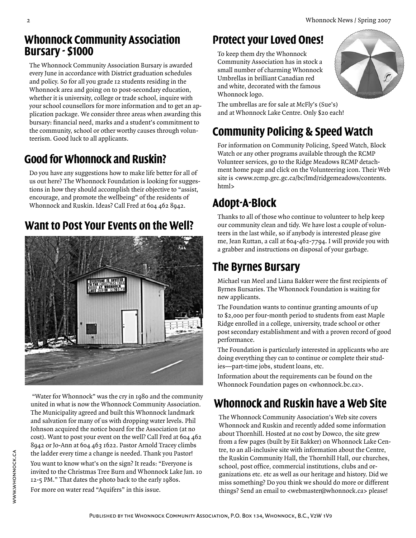#### **Whonnock Community Association Bursary - \$1000**

The Whonnock Community Association Bursary is awarded every June in accordance with District graduation schedules and policy. So for all you grade 12 students residing in the Whonnock area and going on to post-secondary education, whether it is university, college or trade school, inquire with your school counsellors for more information and to get an application package. We consider three areas when awarding this bursary: financial need, marks and a student's commitment to the community, school or other worthy causes through volunteerism. Good luck to all applicants.

# **Good for Whonnock and Ruskin?**

Do you have any suggestions how to make life better for all of us out here? The Whonnock Foundation is looking for suggestions in how they should accomplish their objective to "assist, encourage, and promote the wellbeing" of the residents of Whonnock and Ruskin. Ideas? Call Fred at 604 462 8942.

## **Want to Post Your Events on the Well?**



 "Water for Whonnock" was the cry in 1980 and the community united in what is now the Whonnock Community Association. The Municipality agreed and built this Whonnock landmark and salvation for many of us with dropping water levels. Phil Johnson acquired the notice board for the Association (at no cost). Want to post your event on the well? Call Fred at 604 462 8942 or Jo-Ann at 604 463 1622. Pastor Arnold Tracey climbs the ladder every time a change is needed. Thank you Pastor!

You want to know what's on the sign? It reads: "Everyone is invited to the Christmas Tree Burn and Whonnock Lake Jan. 10 12-5 PM." That dates the photo back to the early 1980s. For more on water read "Aquifers" in this issue.

#### **Protect your Loved Ones!**

To keep them dry the Whonnock Community Association has in stock a small number of charming Whonnock Umbrellas in brilliant Canadian red and white, decorated with the famous Whonnock logo.

The umbrellas are for sale at McFly's (Sue's) and at Whonnock Lake Centre. Only \$20 each!

## **Community Policing & Speed Watch**

For information on Community Policing, Speed Watch, Block Watch or any other programs available through the RCMP Volunteer services, go to the Ridge Meadows RCMP detachment home page and click on the Volunteering icon. Their Web site is <www.rcmp.grc.gc.ca/bc/lmd/ridgemeadows/contents. html>

## **Adopt-A-Block**

Thanks to all of those who continue to volunteer to help keep our community clean and tidy. We have lost a couple of volunteers in the last while, so if anybody is interested please give me, Jean Ruttan, a call at 604-462-7794. I will provide you with a grabber and instructions on disposal of your garbage.

## **The Byrnes Bursary**

Michael van Meel and Liana Bakker were the first recipients of Byrnes Bursaries. The Whonnock Foundation is waiting for new applicants.

The Foundation wants to continue granting amounts of up to \$2,000 per four-month period to students from east Maple Ridge enrolled in a college, university, trade school or other post secondary establishment and with a proven record of good performance.

The Foundation is particularly interested in applicants who are doing everything they can to continue or complete their studies—part-time jobs, student loans, etc.

Information about the requirements can be found on the Whonnock Foundation pages on <whonnock.bc.ca>.

# **Whonnock and Ruskin have a Web Site**

The Whonnock Community Association's Web site covers Whonnock and Ruskin and recently added some information about Thornhill. Hosted at no cost by Dowco, the site grew from a few pages (built by Eit Bakker) on Whonnock Lake Centre, to an all-inclusive site with information about the Centre, the Ruskin Community Hall, the Thornhill Hall, our churches, school, post office, commercial institutions, clubs and organizations etc. etc as well as our heritage and history. Did we miss something? Do you think we should do more or different things? Send an email to <webmaster@whonnock.ca> please!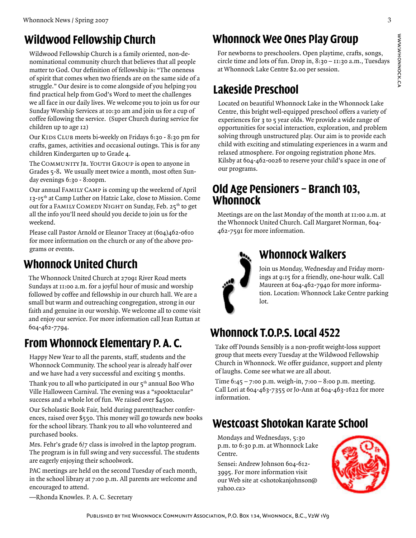# **Wildwood Fellowship Church**

Wildwood Fellowship Church is a family oriented, non-denominational community church that believes that all people matter to God. Our definition of fellowship is: "The oneness of spirit that comes when two friends are on the same side of a struggle." Our desire is to come alongside of you helping you find practical help from God's Word to meet the challenges we all face in our daily lives. We welcome you to join us for our Sunday Worship Services at 10:30 am and join us for a cup of coffee following the service. (Super Church during service for children up to age 12)

Our KIDS CLUB meets bi-weekly on Fridays 6:30 - 8:30 pm for crafts, games, activities and occasional outings. This is for any children Kindergarten up to Grade 4.

The COMMUNITY JR. YOUTH GROUP is open to anyone in Grades 5-8**.** We usually meet twice a month, most often Sunday evenings 6:30 - 8:00pm.

Our annual Family Camp is coming up the weekend of April 13-15<sup>th</sup> at Camp Luther on Hatzic Lake, close to Mission. Come out for a FAMILY COMEDY NIGHT on Sunday, Feb. 25<sup>th</sup> to get all the info you'll need should you decide to join us for the weekend.

Please call Pastor Arnold or Eleanor Tracey at  $(604)462 - 0610$ for more information on the church or any of the above programs or events.

## **Whonnock United Church**

The Whonnock United Church at 27091 River Road meets Sundays at 11:00 a.m. for a joyful hour of music and worship followed by coffee and fellowship in our church hall. We are a small but warm and outreaching congregation, strong in our faith and genuine in our worship. We welcome all to come visit and enjoy our service. For more information call Jean Ruttan at 604-462-7794.

# **From Whonnock Elementary P. A. C.**

Happy New Year to all the parents, staff, students and the Whonnock Community. The school year is already half over and we have had a very successful and exciting 5 months.

Thank you to all who participated in our  $5<sup>th</sup>$  annual Boo Who Ville Halloween Carnival. The evening was a "spooktacular" success and a whole lot of fun. We raised over \$4500.

Our Scholastic Book Fair, held during parent/teacher conferences, raised over \$550. This money will go towards new books for the school library. Thank you to all who volunteered and purchased books.

Mrs. Fehr's grade 6/7 class is involved in the laptop program. The program is in full swing and very successful. The students are eagerly enjoying their schoolwork.

PAC meetings are held on the second Tuesday of each month, in the school library at 7:00 p.m. All parents are welcome and encouraged to attend.

## **Whonnock Wee Ones Play Group**

For newborns to preschoolers. Open playtime, crafts, songs, circle time and lots of fun. Drop in, 8:30 – 11:30 a.m., Tuesdays at Whonnock Lake Centre \$2.00 per session.

## **Lakeside Preschool**

Located on beautiful Whonnock Lake in the Whonnock Lake Centre, this bright well-equipped preschool offers a variety of experiences for 3 to 5 year olds. We provide a wide range of opportunities for social interaction, exploration, and problem solving through unstructured play. Our aim is to provide each child with exciting and stimulating experiences in a warm and relaxed atmosphere. For ongoing registration phone Mrs. Kilsby at 604-462-0026 to reserve your child's space in one of our programs.

#### **Old Age Pensioners – Branch 103, Whonnock**

Meetings are on the last Monday of the month at 11:00 a.m. at the Whonnock United Church. Call Margaret Norman, 604- 462-7591 for more information.



#### **Whonnock Walkers**

Join us Monday, Wednesday and Friday mornings at 9:15 for a friendly, one-hour walk. Call Maureen at 604-462-7940 for more information. Location: Whonnock Lake Centre parking lot.

# **Whonnock T.O.P.S. Local 4522**

Take off Pounds Sensibly is a non-profit weight-loss support group that meets every Tuesday at the Wildwood Fellowship Church in Whonnock. We offer guidance, support and plenty of laughs. Come see what we are all about.

Time 6:45 – 7:00 p.m. weigh-in, 7:00 – 8:00 p.m. meeting. Call Lori at 604-463-7355 or Jo-Ann at 604-463-1622 for more information.

# **Westcoast Shotokan Karate School**

Mondays and Wednesdays, 5:30 p.m. to 6:30 p.m. at Whonnock Lake Centre.

Sensei: Andrew Johnson 604-612- 3995. For more information visit our Web site at <shotokanjohnson@ yahoo.ca>

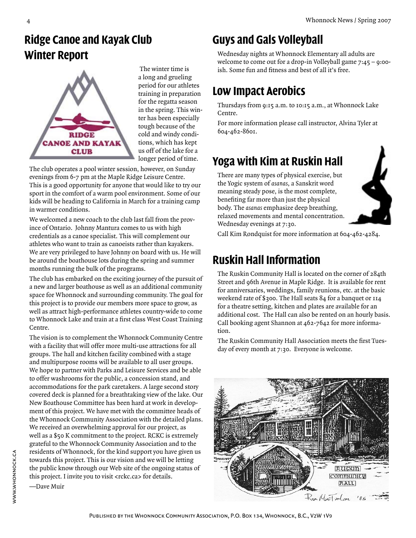## **Ridge Canoe and Kayak Club Winter Report**



The winter time is a long and grueling period for our athletes training in preparation for the regatta season in the spring. This winter has been especially tough because of the cold and windy conditions, which has kept us off of the lake for a longer period of time.

The club operates a pool winter session, however, on Sunday evenings from 6-7 pm at the Maple Ridge Leisure Centre. This is a good opportunity for anyone that would like to try our sport in the comfort of a warm pool environment. Some of our kids will be heading to California in March for a training camp in warmer conditions.

We welcomed a new coach to the club last fall from the province of Ontario. Johnny Mantura comes to us with high credentials as a canoe specialist. This will complement our athletes who want to train as canoeists rather than kayakers. We are very privileged to have Johnny on board with us. He will be around the boathouse lots during the spring and summer months running the bulk of the programs.

The club has embarked on the exciting journey of the pursuit of a new and larger boathouse as well as an additional community space for Whonnock and surrounding community. The goal for this project is to provide our members more space to grow, as well as attract high-performance athletes country-wide to come to Whonnock Lake and train at a first class West Coast Training Centre.

The vision is to complement the Whonnock Community Centre with a facility that will offer more multi-use attractions for all groups. The hall and kitchen facility combined with a stage and multipurpose rooms will be available to all user groups. We hope to partner with Parks and Leisure Services and be able to offer washrooms for the public, a concession stand, and accommodations for the park caretakers. A large second story covered deck is planned for a breathtaking view of the lake. Our New Boathouse Committee has been hard at work in development of this project. We have met with the committee heads of the Whonnock Community Association with the detailed plans. We received an overwhelming approval for our project, as well as a \$50 K commitment to the project. RCKC is extremely grateful to the Whonnock Community Association and to the residents of Whonnock, for the kind support you have given us towards this project. This is our vision and we will be letting the public know through our Web site of the ongoing status of this project. I invite you to visit <rckc.ca> for details.

## **Guys and Gals Volleyball**

Wednesday nights at Whonnock Elementary all adults are welcome to come out for a drop-in Volleyball game 7:45 – 9:00 ish. Some fun and fitness and best of all it's free.

# **Low Impact Aerobics**

Thursdays from 9:15 a.m. to 10:15 a.m., at Whonnock Lake Centre.

For more information please call instructor, Alvina Tyler at 604-462-8601.

# **Yoga with Kim at Ruskin Hall**

There are many types of physical exercise, but the Yogic system of *asanas*, a Sanskrit word meaning steady pose, is the most complete, benefiting far more than just the physical body. The *asanas* emphasize deep breathing, relaxed movements and mental concentration. Wednesday evenings at 7:30.



Call Kim Rondquist for more information at 604-462-4284.

## **Ruskin Hall Information**

The Ruskin Community Hall is located on the corner of 284th Street and 96th Avenue in Maple Ridge. It is available for rent for anniversaries, weddings, family reunions, etc. at the basic weekend rate of \$300. The Hall seats 84 for a banquet or 114 for a theatre setting, kitchen and plates are available for an additional cost. The Hall can also be rented on an hourly basis. Call booking agent Shannon at 462-7642 for more information.

The Ruskin Community Hall Association meets the first Tuesday of every month at 7:30. Everyone is welcome.



—Dave Muir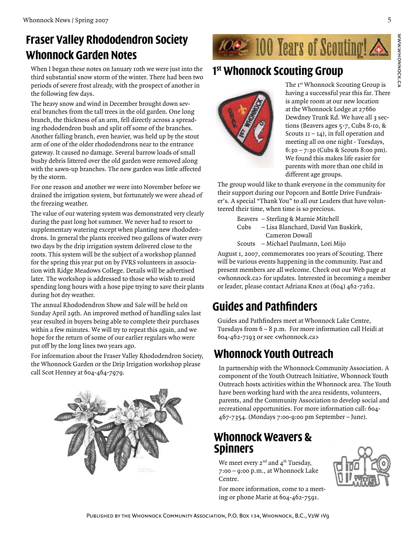# **Fraser Valley Rhododendron Society Whonnock Garden Notes**

When I began these notes on January 10th we were just into the third substantial snow storm of the winter. There had been two periods of severe frost already, with the prospect of another in the following few days.

The heavy snow and wind in December brought down several branches from the tall trees in the old garden. One long branch, the thickness of an arm, fell directly across a spreading rhododendron bush and split off some of the branches. Another falling branch, even heavier, was held up by the stout arm of one of the older rhododendrons near to the entrance gateway. It caused no damage. Several barrow loads of small bushy debris littered over the old garden were removed along with the sawn-up branches. The new garden was little affected by the storm.

For one reason and another we were into November before we drained the irrigation system, but fortunately we were ahead of the freezing weather.

The value of our watering system was demonstrated very clearly during the past long hot summer. We never had to resort to supplementary watering except when planting new rhododendrons. In general the plants received two gallons of water every two days by the drip irrigation system delivered close to the roots. This system will be the subject of a workshop planned for the spring this year put on by FVRS volunteers in association with Ridge Meadows College. Details will be advertised later. The workshop is addressed to those who wish to avoid spending long hours with a hose pipe trying to save their plants during hot dry weather.

The annual Rhododendron Show and Sale will be held on Sunday April 29th. An improved method of handling sales last year resulted in buyers being able to complete their purchases within a few minutes. We will try to repeat this again, and we hope for the return of some of our earlier regulars who were put off by the long lines two years ago.

For information about the Fraser Valley Rhododendron Society, the Whonnock Garden or the Drip Irrigation workshop please call Scot Henney at 604-464-7979.





## **1 st Whonnock Scouting Group**



The 1<sup>st</sup> Whonnock Scouting Group is having a successful year this far. There is ample room at our new location at the Whonnock Lodge at 27660 Dewdney Trunk Rd. We have all 3 sections (Beavers ages 5-7, Cubs 8-10, & Scouts  $11 - 14$ ), in full operation and meeting all on one night - Tuesdays, 6:30 – 7:30 (Cubs & Scouts 8:00 pm). We found this makes life easier for parents with more than one child in different age groups.

The group would like to thank everyone in the community for their support during our Popcorn and Bottle Drive Fundraiser's. A special "Thank You" to all our Leaders that have volunteered their time, when time is so precious.

- Beavers Sterling & Marnie Mitchell
- Cubs Lisa Blanchard, David Van Buskirk, Cameron Dowall
- Scouts Michael Paulmann, Lori Mijo

August 1, 2007, commemorates 100 years of Scouting. There will be various events happening in the community. Past and present members are all welcome. Check out our Web page at <whonnock.ca> for updates. Interested in becoming a member or leader, please contact Adriana Knox at (604) 462-7262.

# **Guides and Pathfinders**

Guides and Pathfinders meet at Whonnock Lake Centre, Tuesdays from 6 – 8 p.m. For more information call Heidi at 604-462-7193 or see <whonnock.ca>

## **Whonnock Youth Outreach**

In partnership with the Whonnock Community Association. A component of the Youth Outreach Initiative, Whonnock Youth Outreach hosts activities within the Whonnock area. The Youth have been working hard with the area residents, volunteers, parents, and the Community Association to develop social and recreational opportunities. For more information call: 604- 467-7354. (Mondays 7:00-9:00 pm September – June).

#### **Whonnock Weavers & Spinners**

We meet every  $2^{nd}$  and  $4^{th}$  Tuesday, 7:00 – 9:00 p.m., at Whonnock Lake Centre.

For more information, come to a meeting or phone Marie at 604-462-7591.